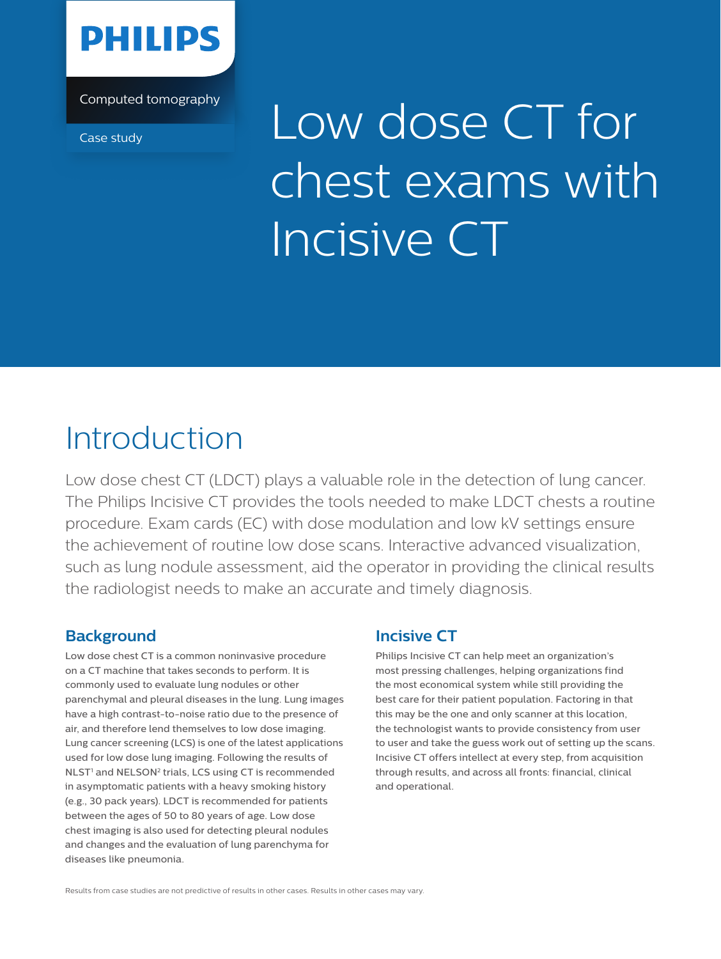

Computed tomography

# Case study Low dose CT for chest exams with Incisive CT

## Introduction

Low dose chest CT (LDCT) plays a valuable role in the detection of lung cancer. The Philips Incisive CT provides the tools needed to make LDCT chests a routine procedure. Exam cards (EC) with dose modulation and low kV settings ensure the achievement of routine low dose scans. Interactive advanced visualization, such as lung nodule assessment, aid the operator in providing the clinical results the radiologist needs to make an accurate and timely diagnosis.

### **Background**

Low dose chest CT is a common noninvasive procedure on a CT machine that takes seconds to perform. It is commonly used to evaluate lung nodules or other parenchymal and pleural diseases in the lung. Lung images have a high contrast-to-noise ratio due to the presence of air, and therefore lend themselves to low dose imaging. Lung cancer screening (LCS) is one of the latest applications used for low dose lung imaging. Following the results of NLST<sup>1</sup> and NELSON<sup>2</sup> trials, LCS using CT is recommended in asymptomatic patients with a heavy smoking history (e.g., 30 pack years). LDCT is recommended for patients between the ages of 50 to 80 years of age. Low dose chest imaging is also used for detecting pleural nodules and changes and the evaluation of lung parenchyma for diseases like pneumonia.

#### **Incisive CT**

Philips Incisive CT can help meet an organization's most pressing challenges, helping organizations find the most economical system while still providing the best care for their patient population. Factoring in that this may be the one and only scanner at this location, the technologist wants to provide consistency from user to user and take the guess work out of setting up the scans. Incisive CT offers intellect at every step, from acquisition through results, and across all fronts: financial, clinical and operational.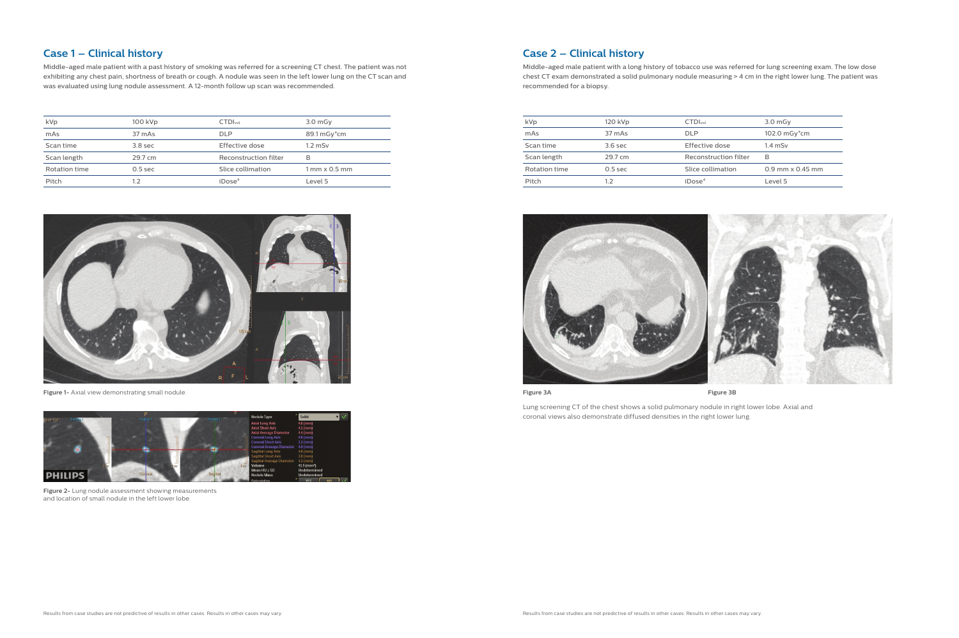#### **Case 1 – Clinical history**

Middle-aged male patient with a past history of smoking was referred for a screening CT chest. The patient was not exhibiting any chest pain, shortness of breath or cough. A nodule was seen in the left lower lung on the CT scan and was evaluated using lung nodule assessment. A 12-month follow up scan was recommended.

| kVp           | 100 kVp            | <b>CTDI</b> vol       | $3.0m$ Gy                            |
|---------------|--------------------|-----------------------|--------------------------------------|
| mAs           | 37 mAs             | <b>DLP</b>            | 89.1 mGy <sup>*</sup> cm             |
| Scan time     | 3.8 <sub>sec</sub> | Effective dose        | $1.2$ mSv                            |
| Scan length   | 29.7 cm            | Reconstruction filter | B                                    |
| Rotation time | $0.5$ sec          | Slice collimation     | $1 \text{ mm} \times 0.5 \text{ mm}$ |
| Pitch         | 1.2                | iDose <sup>4</sup>    | Level 5                              |



**Figure 1-** Axial view demonstrating small nodule.



**Figure 2-** Lung nodule assessment showing measurements and location of small nodule in the left lower lobe.

#### **Case 2 – Clinical history**

Middle-aged male patient with a long history of tobacco use was referred for lung screening exam. The low dose chest CT exam demonstrated a solid pulmonary nodule measuring > 4 cm in the right lower lung. The patient was recommended for a biopsy.

**Figure 3A Figure 3B**

Lung screening CT of the chest shows a solid pulmonary nodule in right lower lobe. Axial and coronal views also demonstrate diffused densities in the right lower lung.

| kVp           | 120 kVp   | CTDI <sub>vol</sub>   | $3.0m$ Gy                 |
|---------------|-----------|-----------------------|---------------------------|
| mAs           | 37 mAs    | DI P                  | 102.0 mGy*cm              |
| Scan time     | $3.6$ sec | Effective dose        | $1.4$ mSv                 |
| Scan length   | 29.7 cm   | Reconstruction filter | R                         |
| Rotation time | $0.5$ sec | Slice collimation     | $0.9$ mm $\times$ 0.45 mm |
| Pitch         | 1.2       | iDose <sup>4</sup>    | Level 5                   |